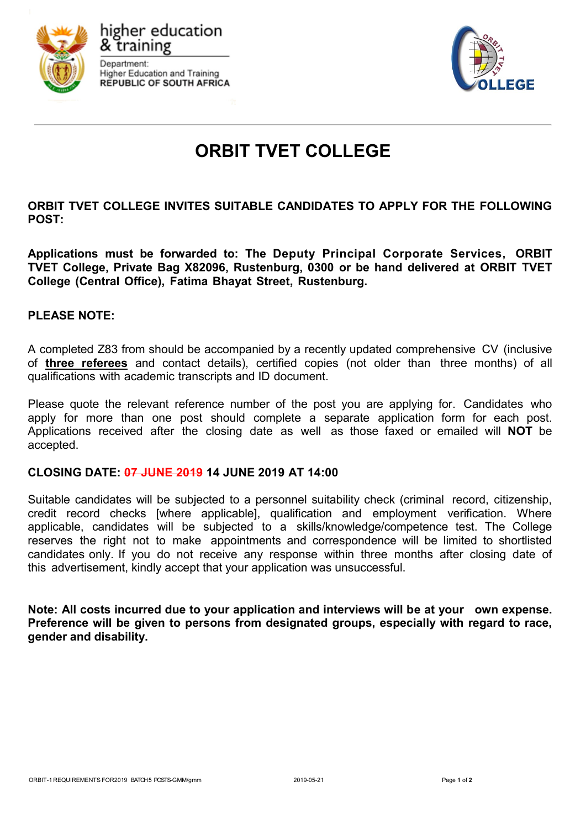



# **ORBIT TVET COLLEGE**

**ORBIT TVET COLLEGE INVITES SUITABLE CANDIDATES TO APPLY FOR THE FOLLOWING POST:**

**Applications must be forwarded to: The Deputy Principal Corporate Services, ORBIT TVET College, Private Bag X82096, Rustenburg, 0300 or be hand delivered at ORBIT TVET College (Central Office), Fatima Bhayat Street, Rustenburg.**

### **PLEASE NOTE:**

A completed Z83 from should be accompanied by a recently updated comprehensive CV (inclusive of **three referees** and contact details), certified copies (not older than three months) of all qualifications with academic transcripts and ID document.

Please quote the relevant reference number of the post you are applying for. Candidates who apply for more than one post should complete a separate application form for each post. Applications received after the closing date as well as those faxed or emailed will **NOT** be accepted.

### **CLOSING DATE: 07 JUNE 2019 14 JUNE 2019 AT 14:00**

Suitable candidates will be subjected to a personnel suitability check (criminal record, citizenship, credit record checks [where applicable], qualification and employment verification. Where applicable, candidates will be subjected to a skills/knowledge/competence test. The College reserves the right not to make appointments and correspondence will be limited to shortlisted candidates only. If you do not receive any response within three months after closing date of this advertisement, kindly accept that your application was unsuccessful.

**Note: All costs incurred due to your application and interviews will be at your own expense. Preference will be given to persons from designated groups, especially with regard to race, gender and disability.**